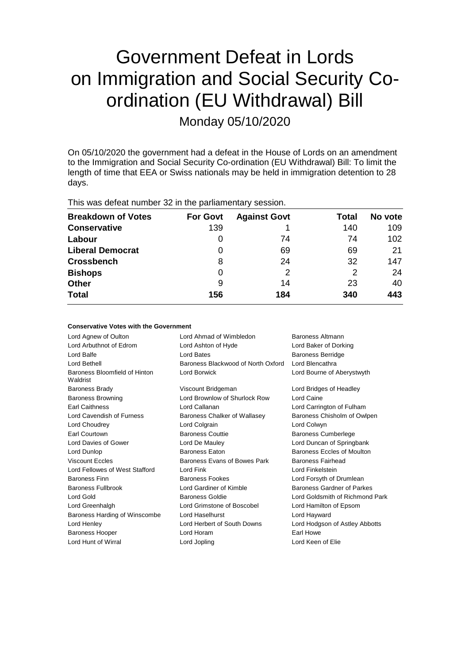# Government Defeat in Lords on Immigration and Social Security Coordination (EU Withdrawal) Bill

Monday 05/10/2020

On 05/10/2020 the government had a defeat in the House of Lords on an amendment to the Immigration and Social Security Co-ordination (EU Withdrawal) Bill: To limit the length of time that EEA or Swiss nationals may be held in immigration detention to 28 days.

This was defeat number 32 in the parliamentary session.

| <b>Breakdown of Votes</b> | <b>For Govt</b> | <b>Against Govt</b> | Total | No vote |
|---------------------------|-----------------|---------------------|-------|---------|
| <b>Conservative</b>       | 139             |                     | 140   | 109     |
| Labour                    | O               | 74                  | 74    | 102     |
| <b>Liberal Democrat</b>   | 0               | 69                  | 69    | 21      |
| <b>Crossbench</b>         | 8               | 24                  | 32    | 147     |
| <b>Bishops</b>            | 0               | 2                   | 2     | 24      |
| <b>Other</b>              | 9               | 14                  | 23    | 40      |
| <b>Total</b>              | 156             | 184                 | 340   | 443     |

### **Conservative Votes with the Government**

| Lord Agnew of Oulton                      | Lord Ahmad of Wimbledon<br>Baroness Altmann |                                 |
|-------------------------------------------|---------------------------------------------|---------------------------------|
| Lord Arbuthnot of Edrom                   | Lord Ashton of Hyde                         | Lord Baker of Dorking           |
| Lord Balfe                                | Lord Bates                                  | <b>Baroness Berridge</b>        |
| Lord Bethell                              | Baroness Blackwood of North Oxford          | Lord Blencathra                 |
| Baroness Bloomfield of Hinton<br>Waldrist | Lord Borwick                                | Lord Bourne of Aberystwyth      |
| <b>Baroness Brady</b>                     | Viscount Bridgeman                          | Lord Bridges of Headley         |
| <b>Baroness Browning</b>                  | Lord Brownlow of Shurlock Row               | Lord Caine                      |
| <b>Earl Caithness</b>                     | Lord Callanan                               | Lord Carrington of Fulham       |
| Lord Cavendish of Furness                 | Baroness Chalker of Wallasey                | Baroness Chisholm of Owlpen     |
| Lord Choudrey                             | Lord Colgrain                               | Lord Colwyn                     |
| Earl Courtown                             | <b>Baroness Couttie</b>                     | <b>Baroness Cumberlege</b>      |
| Lord Davies of Gower                      | Lord De Mauley                              | Lord Duncan of Springbank       |
| Lord Dunlop                               | <b>Baroness Eaton</b>                       | Baroness Eccles of Moulton      |
| <b>Viscount Eccles</b>                    | Baroness Evans of Bowes Park                | Baroness Fairhead               |
| Lord Fellowes of West Stafford            | Lord Fink                                   | Lord Finkelstein                |
| <b>Baroness Finn</b>                      | <b>Baroness Fookes</b>                      | Lord Forsyth of Drumlean        |
| Baroness Fullbrook                        | Lord Gardiner of Kimble                     | Baroness Gardner of Parkes      |
| Lord Gold                                 | Baroness Goldie                             | Lord Goldsmith of Richmond Park |
| Lord Greenhalgh                           | Lord Grimstone of Boscobel                  | Lord Hamilton of Epsom          |
| Baroness Harding of Winscombe             | Lord Haselhurst                             | Lord Hayward                    |
| Lord Henley                               | Lord Herbert of South Downs                 | Lord Hodgson of Astley Abbotts  |
| <b>Baroness Hooper</b>                    | Lord Horam                                  | Earl Howe                       |
| Lord Hunt of Wirral                       | Lord Jopling                                | Lord Keen of Elie               |
|                                           |                                             |                                 |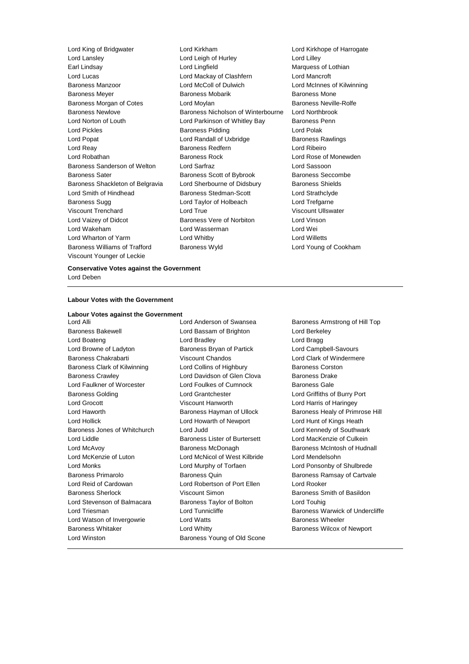Lord Lansley Lord Leigh of Hurley Lord Lilley Earl Lindsay Lord Lingfield Marquess of Lothian Lord Lucas Lord Mackay of Clashfern Lord Mancroft Baroness Manzoor Lord McColl of Dulwich Lord McInnes of Kilwinning Baroness Meyer **Baroness Mobarik** Baroness Mobarik Baroness Mone Baroness Morgan of Cotes **Lord Moylan Lord Moylan** Baroness Neville-Rolfe Baroness Newlove Baroness Nicholson of Winterbourne Lord Northbrook Lord Norton of Louth Lord Parkinson of Whitley Bay Baroness Penn Lord Pickles **Baroness Pidding Lord Polak** Lord Polak Lord Popat Lord Randall of Uxbridge Baroness Rawlings Lord Reay Baroness Redfern Lord Ribeiro Lord Robathan **Baroness Rock** Lord Rose of Monewden Baroness Sanderson of Welton Lord Sarfraz Lord Sassoon Baroness Sater **Baroness Scott of Bybrook** Baroness Seccombe Baroness Shackleton of Belgravia Lord Sherbourne of Didsbury Baroness Shields Lord Smith of Hindhead Baroness Stedman-Scott Lord Strathclyde Baroness Sugg **Lord Taylor of Holbeach** Lord Trefgarne Viscount Trenchard Lord True Viscount Ullswater Lord Vaizey of Didcot Baroness Vere of Norbiton Lord Vinson Lord Wakeham Lord Wasserman Lord Wei Lord Wharton of Yarm Lord Whitby Lord Willetts Baroness Williams of Trafford Baroness Wyld Lord Young of Cookham Viscount Younger of Leckie

Lord King of Bridgwater Lord Kirkham Lord Kirkhope of Harrogate

## **Conservative Votes against the Government** Lord Deben

#### **Labour Votes with the Government**

**Labour Votes against the Government** Lord Alli **Lord Anderson of Swansea** Baroness Armstrong of Hill Top Baroness Bakewell Lord Bassam of Brighton Lord Berkeley Lord Boateng **Lord Bradley** Lord Bradley **Lord Bragg** Lord Browne of Ladyton **Baroness Bryan of Partick** Lord Campbell-Savours Baroness Chakrabarti Viscount Chandos Lord Clark of Windermere Baroness Clark of Kilwinning Lord Collins of Highbury Baroness Corston Baroness Crawley **Lord Davidson of Glen Clova** Baroness Drake Lord Faulkner of Worcester Lord Foulkes of Cumnock Baroness Gale Baroness Golding Lord Grantchester Lord Griffiths of Burry Port Lord Grocott Viscount Hanworth Lord Harris of Haringey Lord Haworth **Baroness Hayman of Ullock** Baroness Healy of Primrose Hill Lord Hollick Lord Howarth of Newport Lord Hunt of Kings Heath Baroness Jones of Whitchurch Lord Judd Lord Kennedy of Southwark Lord Liddle Baroness Lister of Burtersett Lord MacKenzie of Culkein Lord McAvoy **Baroness McDonagh Baroness McBook** Baroness McNow Baroness McIntosh of Hudnall Lord McKenzie of Luton Lord McNicol of West Kilbride Lord Mendelsohn Lord Monks Lord Murphy of Torfaen Lord Ponsonby of Shulbrede Baroness Primarolo **Baroness Quin** Baroness Quin Baroness Ramsay of Cartvale Lord Reid of Cardowan Lord Robertson of Port Ellen Lord Rooker Baroness Sherlock **Viscount Simon** Baroness Smith of Basildon Lord Stevenson of Balmacara Baroness Taylor of Bolton Lord Touhig Lord Triesman **Lord Tunnicliffe Baroness Warwick of Undercliffe Baroness Warwick of Undercliffe** Lord Watson of Invergowrie **Lord Watts Baroness Wheeler** Baroness Whitaker **Lord Whitty Lord Whitty Baroness Wilcox of Newport** Lord Winston **Baroness Young of Old Scone**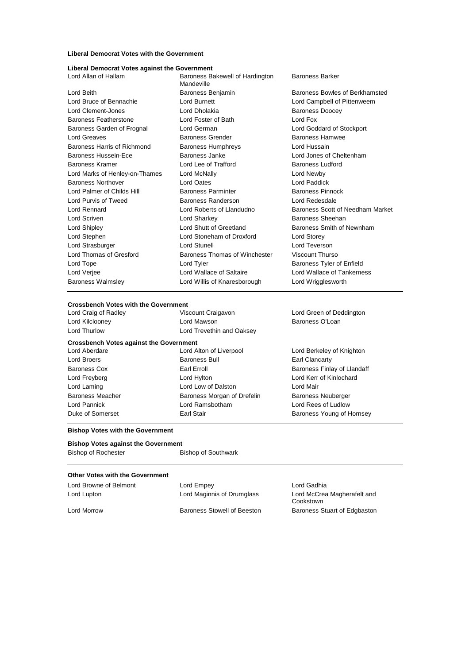#### **Liberal Democrat Votes with the Government**

| Liberal Democrat Votes against the Government |                                               |                                  |  |  |
|-----------------------------------------------|-----------------------------------------------|----------------------------------|--|--|
| Lord Allan of Hallam                          | Baroness Bakewell of Hardington<br>Mandeville | <b>Baroness Barker</b>           |  |  |
| Lord Beith                                    | Baroness Benjamin                             | Baroness Bowles of Berkhamsted   |  |  |
| Lord Bruce of Bennachie                       | Lord Burnett                                  | Lord Campbell of Pittenweem      |  |  |
| Lord Clement-Jones                            | Lord Dholakia                                 | <b>Baroness Doocey</b>           |  |  |
| Baroness Featherstone                         | Lord Foster of Bath                           | Lord Fox                         |  |  |
| Baroness Garden of Frognal                    | Lord German                                   | Lord Goddard of Stockport        |  |  |
| Lord Greaves                                  | <b>Baroness Grender</b>                       | Baroness Hamwee                  |  |  |
| Baroness Harris of Richmond                   | <b>Baroness Humphreys</b>                     | Lord Hussain                     |  |  |
| Baroness Hussein-Ece                          | Baroness Janke                                | Lord Jones of Cheltenham         |  |  |
| <b>Baroness Kramer</b>                        | Lord Lee of Trafford                          | Baroness Ludford                 |  |  |
| Lord Marks of Henley-on-Thames                | Lord McNally                                  | Lord Newby                       |  |  |
| <b>Baroness Northover</b>                     | <b>Lord Oates</b>                             | Lord Paddick                     |  |  |
| Lord Palmer of Childs Hill                    | <b>Baroness Parminter</b>                     | <b>Baroness Pinnock</b>          |  |  |
| Lord Purvis of Tweed                          | Baroness Randerson                            | Lord Redesdale                   |  |  |
| Lord Rennard                                  | Lord Roberts of Llandudno                     | Baroness Scott of Needham Market |  |  |
| <b>Lord Scriven</b>                           | Lord Sharkey                                  | Baroness Sheehan                 |  |  |
| Lord Shipley                                  | Lord Shutt of Greetland                       | Baroness Smith of Newnham        |  |  |
| Lord Stephen                                  | Lord Stoneham of Droxford                     | <b>Lord Storey</b>               |  |  |
| Lord Strasburger                              | Lord Stunell                                  | Lord Teverson                    |  |  |
| Lord Thomas of Gresford                       | Baroness Thomas of Winchester                 | Viscount Thurso                  |  |  |
| Lord Tope                                     | Lord Tyler                                    | Baroness Tyler of Enfield        |  |  |
| Lord Verjee                                   | Lord Wallace of Saltaire                      | Lord Wallace of Tankerness       |  |  |
| <b>Baroness Walmsley</b>                      | Lord Willis of Knaresborough                  | Lord Wrigglesworth               |  |  |

#### **Crossbench Votes with the Government**

| oi ossuchun vuus willi liig ooveriingin        |                             |                             |  |  |
|------------------------------------------------|-----------------------------|-----------------------------|--|--|
| Lord Craig of Radley                           | Viscount Craigavon          | Lord Green of Deddington    |  |  |
| Lord Kilclooney                                | Lord Mawson                 | Baroness O'Loan             |  |  |
| Lord Thurlow                                   | Lord Trevethin and Oaksey   |                             |  |  |
| <b>Crossbench Votes against the Government</b> |                             |                             |  |  |
| Lord Aberdare                                  | Lord Alton of Liverpool     | Lord Berkeley of Knighton   |  |  |
| Lord Broers                                    | <b>Baroness Bull</b>        | Earl Clancarty              |  |  |
| Baroness Cox                                   | Earl Erroll                 | Baroness Finlay of Llandaff |  |  |
| Lord Freyberg                                  | Lord Hylton                 | Lord Kerr of Kinlochard     |  |  |
| Lord Laming                                    | Lord Low of Dalston         | Lord Mair                   |  |  |
| <b>Baroness Meacher</b>                        | Baroness Morgan of Drefelin | <b>Baroness Neuberger</b>   |  |  |
| Lord Pannick                                   | Lord Ramsbotham             | Lord Rees of Ludlow         |  |  |
| Duke of Somerset                               | Earl Stair                  | Baroness Young of Hornsey   |  |  |
|                                                |                             |                             |  |  |

## **Bishop Votes with the Government**

# **Bishop Votes against the Government**

Bishop of Rochester **Bishop of Southwark** 

| <b>Other Votes with the Government</b> |                             |                                          |  |  |  |
|----------------------------------------|-----------------------------|------------------------------------------|--|--|--|
| Lord Browne of Belmont                 | Lord Empey                  | Lord Gadhia                              |  |  |  |
| Lord Lupton                            | Lord Maginnis of Drumglass  | Lord McCrea Magherafelt and<br>Cookstown |  |  |  |
| Lord Morrow                            | Baroness Stowell of Beeston | Baroness Stuart of Edgbaston             |  |  |  |